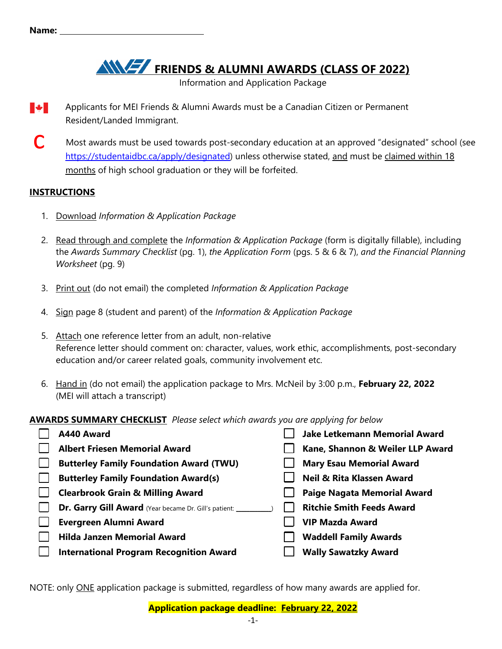**FRIENDS & ALUMNI AWARDS (CLASS OF 2022)** 

Information and Application Package

- **Maritime** Applicants for MEI Friends & Alumni Awards must be a Canadian Citizen or Permanent Resident/Landed Immigrant.
- Most awards must be used towards post-secondary education at an approved "designated" school (see https://studentaidbc.ca/apply/designated) unless otherwise stated, and must be claimed within 18 months of high school graduation or they will be forfeited. c

#### **INSTRUCTIONS**

- 1. Download *Information & Application Package*
- 2. Read through and complete the *Information & Application Package* (form is digitally fillable), including the *Awards Summary Checklist* (pg. 1), *the Application Form* (pgs. 5 & 6 & 7), *and the Financial Planning Worksheet* (pg. 9)
- 3. Print out (do not email) the completed *Information & Application Package*
- 4. Sign page 8 (student and parent) of the *Information & Application Package*
- 5. Attach one reference letter from an adult, non-relative Reference letter should comment on: character, values, work ethic, accomplishments, post-secondary education and/or career related goals, community involvement etc.
- 6. Hand in (do not email) the application package to Mrs. McNeil by 3:00 p.m., **February 22, 2022** (MEI will attach a transcript)

#### **AWARDS SUMMARY CHECKLIST** *Please select which awards you are applying for below*

| A440 Award                                              | <b>Jake Letkemann Memorial Award</b> |
|---------------------------------------------------------|--------------------------------------|
| <b>Albert Friesen Memorial Award</b>                    | Kane, Shannon & Weiler LLP Award     |
| <b>Butterley Family Foundation Award (TWU)</b>          | <b>Mary Esau Memorial Award</b>      |
| <b>Butterley Family Foundation Award(s)</b>             | <b>Neil &amp; Rita Klassen Award</b> |
| <b>Clearbrook Grain &amp; Milling Award</b>             | <b>Paige Nagata Memorial Award</b>   |
| Dr. Garry Gill Award (Year became Dr. Gill's patient: _ | <b>Ritchie Smith Feeds Award</b>     |
| <b>Evergreen Alumni Award</b>                           | <b>VIP Mazda Award</b>               |
| <b>Hilda Janzen Memorial Award</b>                      | <b>Waddell Family Awards</b>         |
| <b>International Program Recognition Award</b>          | <b>Wally Sawatzky Award</b>          |

NOTE: only ONE application package is submitted, regardless of how many awards are applied for.

**Application package deadline: February 22, 2022**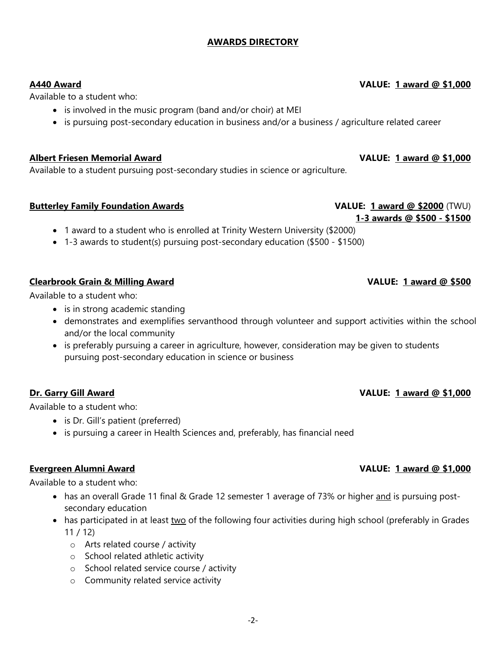### **AWARDS DIRECTORY**

Available to a student who:

- is involved in the music program (band and/or choir) at MEI
- is pursuing post-secondary education in business and/or a business / agriculture related career

#### **Albert Friesen Memorial Award VALUE: 1 award @ \$1,000**

Available to a student pursuing post-secondary studies in science or agriculture.

### **Butterley Family Foundation Awards National Control of Article VALUE: 1 award @ \$2000** (TWU)

- 1 award to a student who is enrolled at Trinity Western University (\$2000)
- 1-3 awards to student(s) pursuing post-secondary education (\$500 \$1500)

### **Clearbrook Grain & Milling Award VALUE: 1 award @ \$500**

Available to a student who:

- is in strong academic standing
- demonstrates and exemplifies servanthood through volunteer and support activities within the school and/or the local community
- is preferably pursuing a career in agriculture, however, consideration may be given to students pursuing post-secondary education in science or business

### **Dr. Garry Gill Award Contract Contract Contract Contract Contract Contract Contract Contract Contract Contract Contract Contract Contract Contract Contract Contract Contract Contract Contract Contract Contract Contract Co**

Available to a student who:

- is Dr. Gill's patient (preferred)
- is pursuing a career in Health Sciences and, preferably, has financial need

Available to a student who:

- has an overall Grade 11 final & Grade 12 semester 1 average of 73% or higher and is pursuing postsecondary education
- has participated in at least two of the following four activities during high school (preferably in Grades 11 / 12)
	- o Arts related course / activity
	- o School related athletic activity
	- o School related service course / activity
	- o Community related service activity

### **A440 Award VALUE: 1 award @ \$1,000**

## **1-3 awards @ \$500 - \$1500**

#### **Evergreen Alumni Award Construction Construction Construction Construction Construction Construction Construction Construction Construction Construction Construction Construction Construction Construction Construction Con**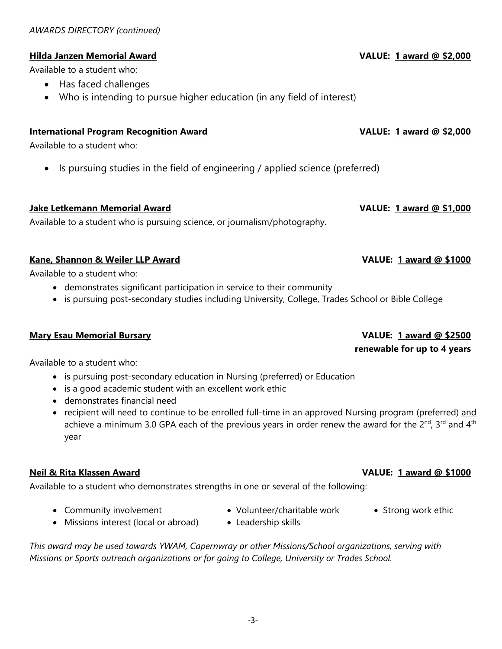### **Hilda Janzen Memorial Award VALUE: 1 award @ \$2,000**

Available to a student who:

- Has faced challenges
- Who is intending to pursue higher education (in any field of interest)

### **International Program Recognition Award VALUE: 1 award @ \$2,000**

Available to a student who:

• Is pursuing studies in the field of engineering / applied science (preferred)

**Jake Letkemann Memorial Award VALUE: 1 award @ \$1,000** 

Available to a student who is pursuing science, or journalism/photography.

### **Kane, Shannon & Weiler LLP Award VALUE: 1 award @ \$1000**

Available to a student who:

- demonstrates significant participation in service to their community
- is pursuing post-secondary studies including University, College, Trades School or Bible College

### **Mary Esau Memorial Bursary VALUE: 1 award @ \$2500**

### Available to a student who:

- is pursuing post-secondary education in Nursing (preferred) or Education
- is a good academic student with an excellent work ethic
- demonstrates financial need
- recipient will need to continue to be enrolled full-time in an approved Nursing program (preferred) and achieve a minimum 3.0 GPA each of the previous years in order renew the award for the  $2^{nd}$ , 3<sup>rd</sup> and  $4^{th}$ year

### **Neil & Rita Klassen Award VALUE: 1 award @ \$1000**

Available to a student who demonstrates strengths in one or several of the following:

• Missions interest (local or abroad) • Leadership skills

- Community involvement Volunteer/charitable work Strong work ethic
- *This award may be used towards YWAM, Capernwray or other Missions/School organizations, serving with Missions or Sports outreach organizations or for going to College, University or Trades School.*

# **renewable for up to 4 years**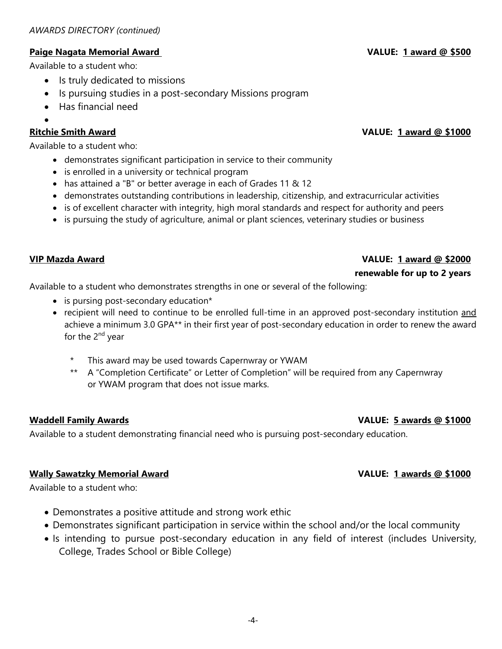### **Paige Nagata Memorial Award VALUE: 1 award @ \$500**

Available to a student who:

- Is truly dedicated to missions
- Is pursuing studies in a post-secondary Missions program
- Has financial need
- $\bullet$

### **Ritchie Smith Award VALUE: 1 award @ \$1000**

Available to a student who:

- demonstrates significant participation in service to their community
- is enrolled in a university or technical program
- has attained a "B" or better average in each of Grades 11 & 12
- demonstrates outstanding contributions in leadership, citizenship, and extracurricular activities
- is of excellent character with integrity, high moral standards and respect for authority and peers
- is pursuing the study of agriculture, animal or plant sciences, veterinary studies or business

### **VIP Mazda Award VALUE: 1 award @ \$2000**

#### **renewable for up to 2 years**

Available to a student who demonstrates strengths in one or several of the following:

- is pursing post-secondary education\*
- recipient will need to continue to be enrolled full-time in an approved post-secondary institution and achieve a minimum 3.0 GPA\*\* in their first year of post-secondary education in order to renew the award for the  $2^{nd}$  year
	- This award may be used towards Capernwray or YWAM
	- \*\* A "Completion Certificate" or Letter of Completion" will be required from any Capernwray or YWAM program that does not issue marks.

### **Waddell Family Awards VALUE: 5 awards @ \$1000**

Available to a student demonstrating financial need who is pursuing post-secondary education.

### **Wally Sawatzky Memorial Award VALUE: 1 awards @ \$1000**

Available to a student who:

- Demonstrates a positive attitude and strong work ethic
- Demonstrates significant participation in service within the school and/or the local community
- Is intending to pursue post-secondary education in any field of interest (includes University, College, Trades School or Bible College)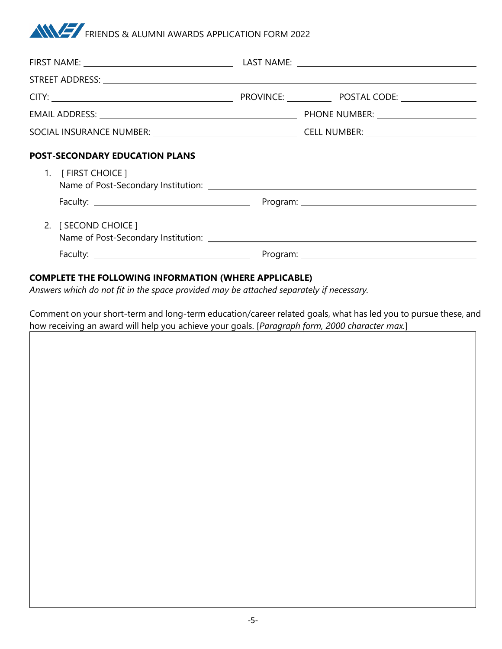## **ANYWAY** FRIENDS & ALUMNI AWARDS APPLICATION FORM 2022

| <b>POST-SECONDARY EDUCATION PLANS</b> |  |  |  |
|---------------------------------------|--|--|--|
| 1. [FIRST CHOICE ]                    |  |  |  |
|                                       |  |  |  |
| 2. [ SECOND CHOICE ]                  |  |  |  |
|                                       |  |  |  |

### **COMPLETE THE FOLLOWING INFORMATION (WHERE APPLICABLE)**

*Answers which do not fit in the space provided may be attached separately if necessary.* 

Comment on your short-term and long-term education/career related goals, what has led you to pursue these, and how receiving an award will help you achieve your goals. [*Paragraph form, 2000 character max.*]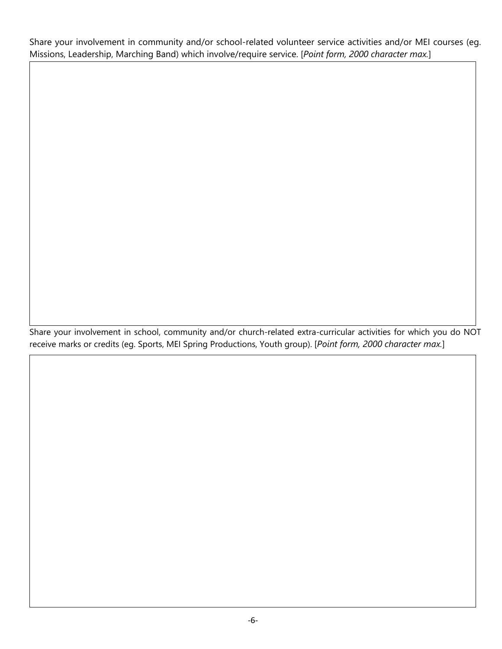Share your involvement in community and/or school-related volunteer service activities and/or MEI courses (eg. Missions, Leadership, Marching Band) which involve/require service. [*Point form, 2000 character max.*]

Share your involvement in school, community and/or church-related extra-curricular activities for which you do NOT receive marks or credits (eg. Sports, MEI Spring Productions, Youth group). [*Point form, 2000 character max.*]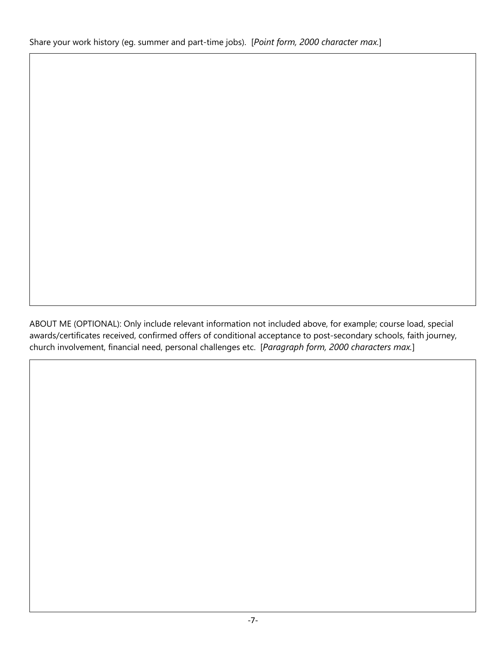ABOUT ME (OPTIONAL): Only include relevant information not included above, for example; course load, special awards/certificates received, confirmed offers of conditional acceptance to post-secondary schools, faith journey, church involvement, financial need, personal challenges etc. [*Paragraph form, 2000 characters max.*]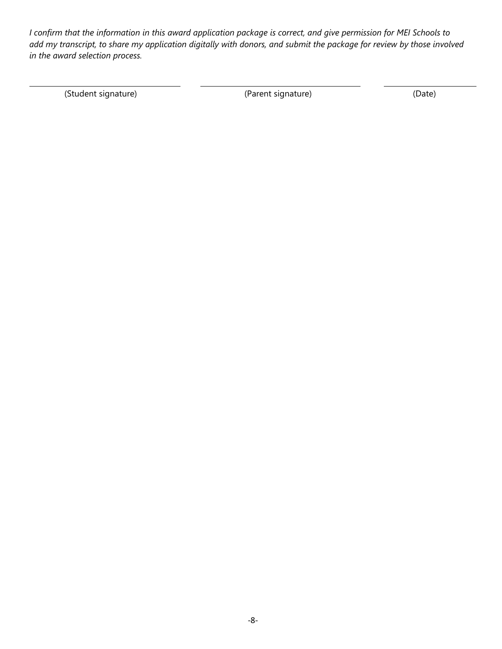*I confirm that the information in this award application package is correct, and give permission for MEI Schools to add my transcript, to share my application digitally with donors, and submit the package for review by those involved in the award selection process.*

(Student signature) (Parent signature) (Date)